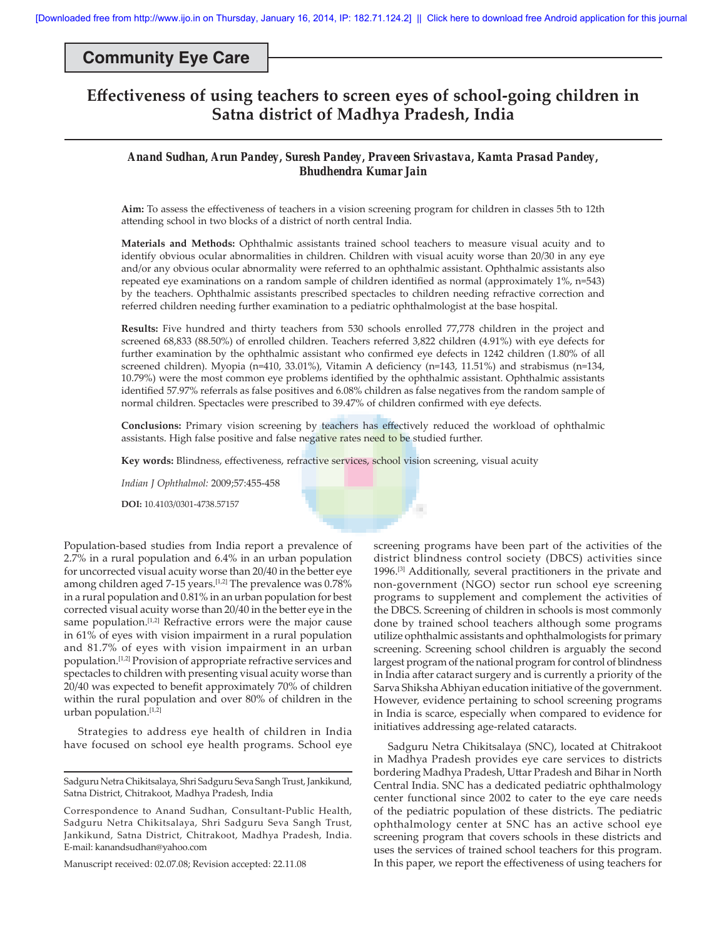## **Community Eye Care**

# **Eff ectiveness of using teachers to screen eyes of school-going children in Satna district of Madhya Pradesh, India**

## *Anand Sudhan, Arun Pandey, Suresh Pandey, Praveen Srivastava, Kamta Prasad Pandey, Bhudhendra Kumar Jain*

Aim: To assess the effectiveness of teachers in a vision screening program for children in classes 5th to 12th attending school in two blocks of a district of north central India.

**Materials and Methods:** Ophthalmic assistants trained school teachers to measure visual acuity and to identify obvious ocular abnormalities in children. Children with visual acuity worse than 20/30 in any eye and/or any obvious ocular abnormality were referred to an ophthalmic assistant. Ophthalmic assistants also repeated eye examinations on a random sample of children identified as normal (approximately 1%, n=543) by the teachers. Ophthalmic assistants prescribed spectacles to children needing refractive correction and referred children needing further examination to a pediatric ophthalmologist at the base hospital.

**Results:** Five hundred and thirty teachers from 530 schools enrolled 77,778 children in the project and screened 68,833 (88.50%) of enrolled children. Teachers referred 3,822 children (4.91%) with eye defects for further examination by the ophthalmic assistant who confirmed eye defects in 1242 children (1.80% of all screened children). Myopia (n=410, 33.01%), Vitamin A deficiency (n=143, 11.51%) and strabismus (n=134, 10.79%) were the most common eye problems identified by the ophthalmic assistant. Ophthalmic assistants identified 57.97% referrals as false positives and 6.08% children as false negatives from the random sample of normal children. Spectacles were prescribed to 39.47% of children confirmed with eye defects.

Conclusions: Primary vision screening by teachers has effectively reduced the workload of ophthalmic assistants. High false positive and false negative rates need to be studied further.

×

Key words: Blindness, effectiveness, refractive services, school vision screening, visual acuity

*Indian J Ophthalmol:* 2009;57:455-458

**DOI:** 10.4103/0301-4738.57157

Population-based studies from India report a prevalence of 2.7% in a rural population and 6.4% in an urban population for uncorrected visual acuity worse than 20/40 in the better eye among children aged 7-15 years.<sup>[1,2]</sup> The prevalence was 0.78% in a rural population and 0.81% in an urban population for best corrected visual acuity worse than 20/40 in the better eye in the same population.<sup>[1,2]</sup> Refractive errors were the major cause in 61% of eyes with vision impairment in a rural population and 81.7% of eyes with vision impairment in an urban population.[1,2] Provision of appropriate refractive services and spectacles to children with presenting visual acuity worse than 20/40 was expected to benefit approximately 70% of children within the rural population and over 80% of children in the urban population.[1,2]

Strategies to address eye health of children in India have focused on school eye health programs. School eye

Sadguru Netra Chikitsalaya, Shri Sadguru Seva Sangh Trust, Jankikund, Satna District, Chitrakoot, Madhya Pradesh, India

Correspondence to Anand Sudhan, Consultant-Public Health, Sadguru Netra Chikitsalaya, Shri Sadguru Seva Sangh Trust, Jankikund, Satna District, Chitrakoot, Madhya Pradesh, India. E-mail: kanandsudhan@yahoo.com

Manuscript received: 02.07.08; Revision accepted: 22.11.08

screening programs have been part of the activities of the district blindness control society (DBCS) activities since 1996.[3] Additionally, several practitioners in the private and non-government (NGO) sector run school eye screening programs to supplement and complement the activities of the DBCS. Screening of children in schools is most commonly done by trained school teachers although some programs utilize ophthalmic assistants and ophthalmologists for primary screening. Screening school children is arguably the second largest program of the national program for control of blindness in India after cataract surgery and is currently a priority of the Sarva Shiksha Abhiyan education initiative of the government. However, evidence pertaining to school screening programs in India is scarce, especially when compared to evidence for initiatives addressing age-related cataracts.

Sadguru Netra Chikitsalaya (SNC), located at Chitrakoot in Madhya Pradesh provides eye care services to districts bordering Madhya Pradesh, Uttar Pradesh and Bihar in North Central India. SNC has a dedicated pediatric ophthalmology center functional since 2002 to cater to the eye care needs of the pediatric population of these districts. The pediatric ophthalmology center at SNC has an active school eye screening program that covers schools in these districts and uses the services of trained school teachers for this program. In this paper, we report the effectiveness of using teachers for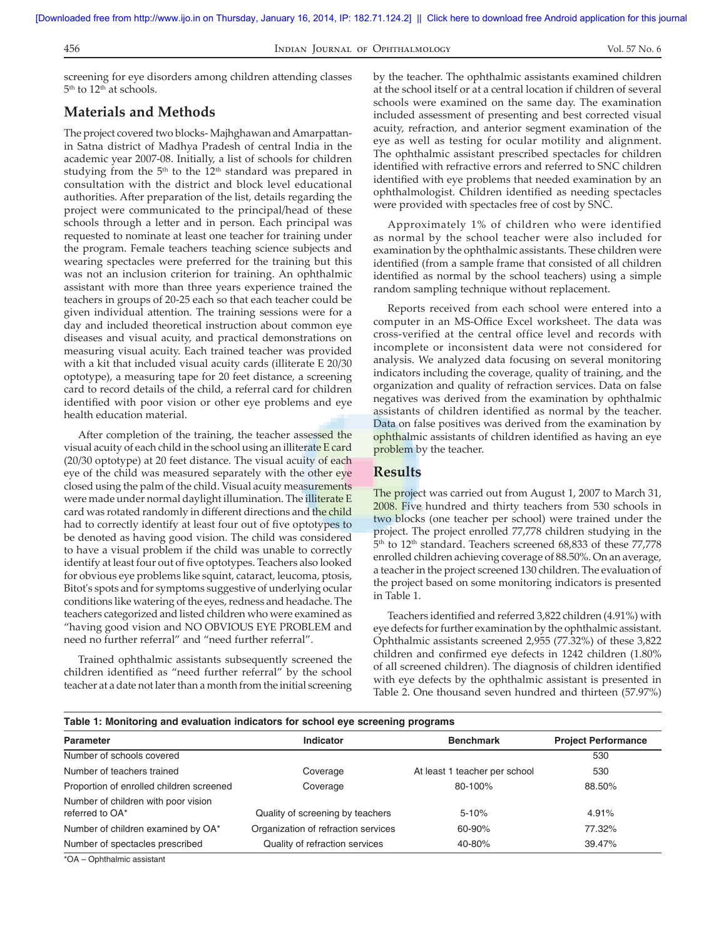456 Indian Journal of Ophthalmology Vol. 57 No. 6

screening for eye disorders among children attending classes 5<sup>th</sup> to 12<sup>th</sup> at schools.

## **Materials and Methods**

The project covered two blocks- Majhghawan and Amarpattanin Satna district of Madhya Pradesh of central India in the academic year 2007-08. Initially, a list of schools for children studying from the  $5<sup>th</sup>$  to the  $12<sup>th</sup>$  standard was prepared in consultation with the district and block level educational authorities. After preparation of the list, details regarding the project were communicated to the principal/head of these schools through a letter and in person. Each principal was requested to nominate at least one teacher for training under the program. Female teachers teaching science subjects and wearing spectacles were preferred for the training but this was not an inclusion criterion for training. An ophthalmic assistant with more than three years experience trained the teachers in groups of 20-25 each so that each teacher could be given individual attention. The training sessions were for a day and included theoretical instruction about common eye diseases and visual acuity, and practical demonstrations on measuring visual acuity. Each trained teacher was provided with a kit that included visual acuity cards (illiterate E 20/30 optotype), a measuring tape for 20 feet distance, a screening card to record details of the child, a referral card for children identified with poor vision or other eye problems and eye health education material.

After completion of the training, the teacher assessed the visual acuity of each child in the school using an illiterate E card (20/30 optotype) at 20 feet distance. The visual acuity of each eye of the child was measured separately with the other eye closed using the palm of the child. Visual acuity measurements were made under normal daylight illumination. The illiterate E card was rotated randomly in different directions and the child had to correctly identify at least four out of five optotypes to be denoted as having good vision. The child was considered to have a visual problem if the child was unable to correctly identify at least four out of five optotypes. Teachers also looked for obvious eye problems like squint, cataract, leucoma, ptosis, Bitot's spots and for symptoms suggestive of underlying ocular conditions like watering of the eyes, redness and headache. The teachers categorized and listed children who were examined as "having good vision and NO OBVIOUS EYE PROBLEM and need no further referral" and "need further referral".

Trained ophthalmic assistants subsequently screened the children identified as "need further referral" by the school teacher at a date not later than a month from the initial screening by the teacher. The ophthalmic assistants examined children at the school itself or at a central location if children of several schools were examined on the same day. The examination included assessment of presenting and best corrected visual acuity, refraction, and anterior segment examination of the eye as well as testing for ocular motility and alignment. The ophthalmic assistant prescribed spectacles for children identified with refractive errors and referred to SNC children identified with eye problems that needed examination by an ophthalmologist. Children identified as needing spectacles were provided with spectacles free of cost by SNC.

Approximately 1% of children who were identified as normal by the school teacher were also included for examination by the ophthalmic assistants. These children were identified (from a sample frame that consisted of all children identified as normal by the school teachers) using a simple random sampling technique without replacement.

Reports received from each school were entered into a computer in an MS-Office Excel worksheet. The data was cross-verified at the central office level and records with incomplete or inconsistent data were not considered for analysis. We analyzed data focusing on several monitoring indicators including the coverage, quality of training, and the organization and quality of refraction services. Data on false negatives was derived from the examination by ophthalmic assistants of children identified as normal by the teacher. Data on false positives was derived from the examination by ophthalmic assistants of children identified as having an eye problem by the teacher.

### **Results**

The project was carried out from August 1, 2007 to March 31, 2008. Five hundred and thirty teachers from 530 schools in two blocks (one teacher per school) were trained under the project. The project enrolled 77,778 children studying in the 5<sup>th</sup> to 12<sup>th</sup> standard. Teachers screened 68,833 of these 77,778 enrolled children achieving coverage of 88.50%. On an average, a teacher in the project screened 130 children. The evaluation of the project based on some monitoring indicators is presented in Table 1.

Teachers identified and referred 3,822 children (4.91%) with eye defects for further examination by the ophthalmic assistant. Ophthalmic assistants screened 2,955 (77.32%) of these 3,822 children and confirmed eye defects in 1242 children (1.80%) of all screened children). The diagnosis of children identified with eye defects by the ophthalmic assistant is presented in Table 2. One thousand seven hundred and thirteen (57.97%)

#### **Table 1: Monitoring and evaluation indicators for school eye screening programs**

| <b>Parameter</b>                                       | Indicator                           | <b>Benchmark</b>              | <b>Project Performance</b> |
|--------------------------------------------------------|-------------------------------------|-------------------------------|----------------------------|
| Number of schools covered                              |                                     |                               | 530                        |
| Number of teachers trained                             | Coverage                            | At least 1 teacher per school | 530                        |
| Proportion of enrolled children screened               | Coverage                            | 80-100%                       | 88.50%                     |
| Number of children with poor vision<br>referred to OA* | Quality of screening by teachers    | $5 - 10%$                     | 4.91%                      |
| Number of children examined by OA*                     | Organization of refraction services | 60-90%                        | 77.32%                     |
| Number of spectacles prescribed                        | Quality of refraction services      | 40-80%                        | 39.47%                     |

\*OA - Ophthalmic assistant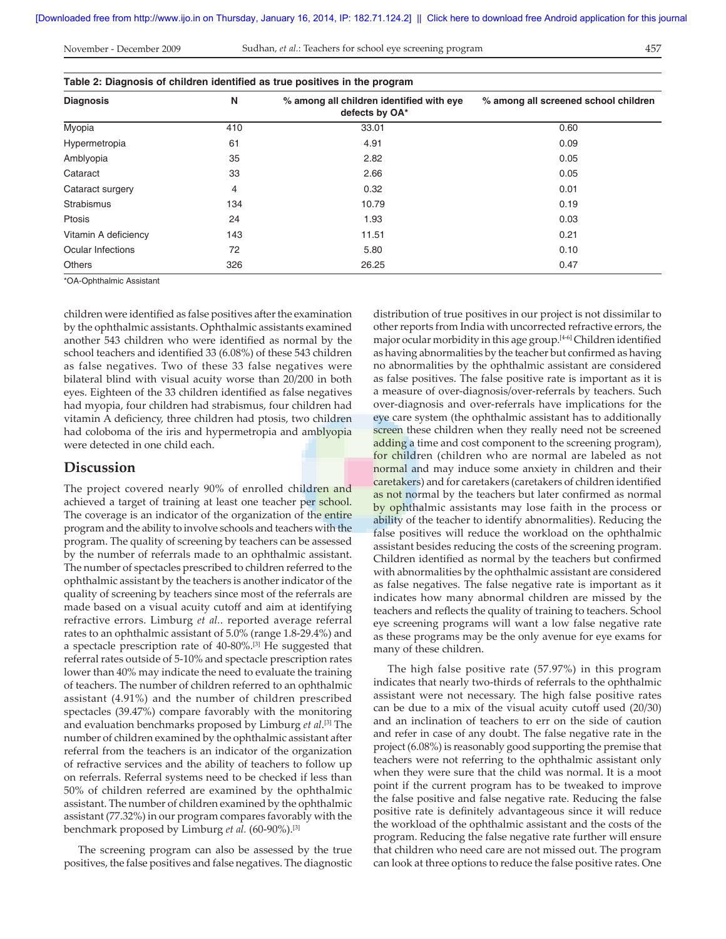#### November - December 2009 457 Sudhan, *et al.*: Teachers for school eye screening program

| i |  |
|---|--|

| Table 2: Diagnosis of children identified as true positives in the program |     |                                                            |                                      |  |  |
|----------------------------------------------------------------------------|-----|------------------------------------------------------------|--------------------------------------|--|--|
| <b>Diagnosis</b>                                                           | N   | % among all children identified with eye<br>defects by OA* | % among all screened school children |  |  |
| Myopia                                                                     | 410 | 33.01                                                      | 0.60                                 |  |  |
| Hypermetropia                                                              | 61  | 4.91                                                       | 0.09                                 |  |  |
| Amblyopia                                                                  | 35  | 2.82                                                       | 0.05                                 |  |  |
| Cataract                                                                   | 33  | 2.66                                                       | 0.05                                 |  |  |
| Cataract surgery                                                           | 4   | 0.32                                                       | 0.01                                 |  |  |
| <b>Strabismus</b>                                                          | 134 | 10.79                                                      | 0.19                                 |  |  |
| Ptosis                                                                     | 24  | 1.93                                                       | 0.03                                 |  |  |
| Vitamin A deficiency                                                       | 143 | 11.51                                                      | 0.21                                 |  |  |
| Ocular Infections                                                          | 72  | 5.80                                                       | 0.10                                 |  |  |
| <b>Others</b>                                                              | 326 | 26.25                                                      | 0.47                                 |  |  |

\*OA-Ophthalmic Assistant

children were identified as false positives after the examination by the ophthalmic assistants. Ophthalmic assistants examined another 543 children who were identified as normal by the school teachers and identified 33 (6.08%) of these 543 children as false negatives. Two of these 33 false negatives were bilateral blind with visual acuity worse than 20/200 in both eyes. Eighteen of the 33 children identified as false negatives had myopia, four children had strabismus, four children had vitamin A deficiency, three children had ptosis, two children had coloboma of the iris and hypermetropia and amblyopia were detected in one child each.

### **Discussion**

The project covered nearly 90% of enrolled children and achieved a target of training at least one teacher per school. The coverage is an indicator of the organization of the entire program and the ability to involve schools and teachers with the program. The quality of screening by teachers can be assessed by the number of referrals made to an ophthalmic assistant. The number of spectacles prescribed to children referred to the ophthalmic assistant by the teachers is another indicator of the quality of screening by teachers since most of the referrals are made based on a visual acuity cutoff and aim at identifying refractive errors. Limburg *et al.*. reported average referral rates to an ophthalmic assistant of 5.0% (range 1.8-29.4%) and a spectacle prescription rate of 40-80%.[3] He suggested that referral rates outside of 5-10% and spectacle prescription rates lower than 40% may indicate the need to evaluate the training of teachers. The number of children referred to an ophthalmic assistant (4.91%) and the number of children prescribed spectacles (39.47%) compare favorably with the monitoring and evaluation benchmarks proposed by Limburg *et al*. [3] The number of children examined by the ophthalmic assistant after referral from the teachers is an indicator of the organization of refractive services and the ability of teachers to follow up on referrals. Referral systems need to be checked if less than 50% of children referred are examined by the ophthalmic assistant. The number of children examined by the ophthalmic assistant (77.32%) in our program compares favorably with the benchmark proposed by Limburg et al. (60-90%).<sup>[3]</sup>

The screening program can also be assessed by the true positives, the false positives and false negatives. The diagnostic distribution of true positives in our project is not dissimilar to other reports from India with uncorrected refractive errors, the major ocular morbidity in this age group. $[4-6]$  Children identified as having abnormalities by the teacher but confirmed as having no abnormalities by the ophthalmic assistant are considered as false positives. The false positive rate is important as it is a measure of over-diagnosis/over-referrals by teachers. Such over-diagnosis and over-referrals have implications for the eye care system (the ophthalmic assistant has to additionally screen these children when they really need not be screened adding a time and cost component to the screening program), for children (children who are normal are labeled as not normal and may induce some anxiety in children and their caretakers) and for caretakers (caretakers of children identified as not normal by the teachers but later confirmed as normal by ophthalmic assistants may lose faith in the process or ability of the teacher to identify abnormalities). Reducing the false positives will reduce the workload on the ophthalmic assistant besides reducing the costs of the screening program. Children identified as normal by the teachers but confirmed with abnormalities by the ophthalmic assistant are considered as false negatives. The false negative rate is important as it indicates how many abnormal children are missed by the teachers and reflects the quality of training to teachers. School eye screening programs will want a low false negative rate as these programs may be the only avenue for eye exams for many of these children.

The high false positive rate (57.97%) in this program indicates that nearly two-thirds of referrals to the ophthalmic assistant were not necessary. The high false positive rates can be due to a mix of the visual acuity cutoff used (20/30) and an inclination of teachers to err on the side of caution and refer in case of any doubt. The false negative rate in the project (6.08%) is reasonably good supporting the premise that teachers were not referring to the ophthalmic assistant only when they were sure that the child was normal. It is a moot point if the current program has to be tweaked to improve the false positive and false negative rate. Reducing the false positive rate is definitely advantageous since it will reduce the workload of the ophthalmic assistant and the costs of the program. Reducing the false negative rate further will ensure that children who need care are not missed out. The program can look at three options to reduce the false positive rates. One